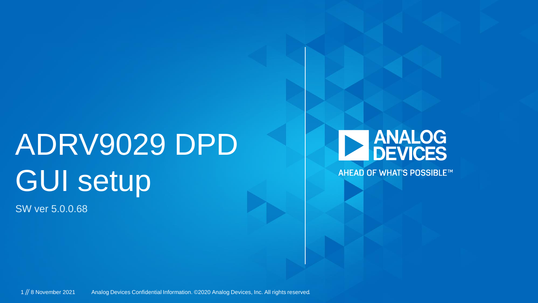# ADRV9029 DPD GUI setup

SW ver 5.0.0.68



**AHEAD OF WHAT'S POSSIBLE™**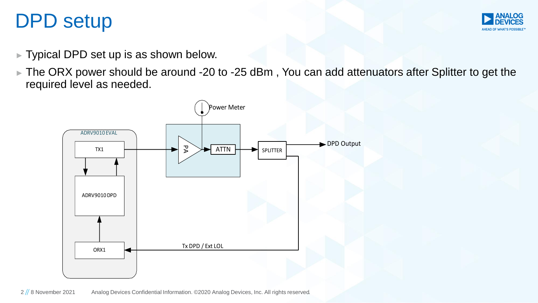#### DPD setup



- ► Typical DPD set up is as shown below.
- ► The ORX power should be around -20 to -25 dBm , You can add attenuators after Splitter to get the required level as needed.

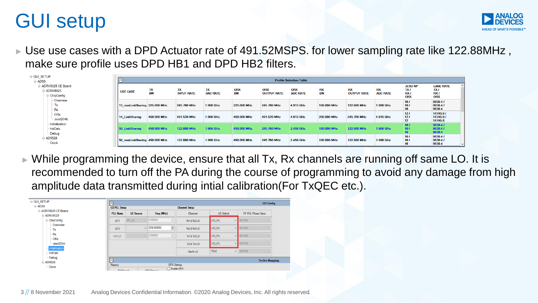### GUI setup



► Use use cases with a DPD Actuator rate of 491.52MSPS. for lower sampling rate like 122.88MHz, make sure profile uses DPD HB1 and DPD HB2 filters.

| <b>E</b> ADS9                                        |                               |                 |                         |                       |                         |                           | <b>Profile Selection Table</b> |                        |                                 |                              |                                                 |                                               |
|------------------------------------------------------|-------------------------------|-----------------|-------------------------|-----------------------|-------------------------|---------------------------|--------------------------------|------------------------|---------------------------------|------------------------------|-------------------------------------------------|-----------------------------------------------|
| ADRV9025 CE Board<br>- ADRV9025<br><b>ChipConfig</b> | <b>USE CASE</b>               | TX<br><b>BW</b> | TX<br><b>INPUT RATE</b> | TX<br><b>DAC RATE</b> | <b>ORX</b><br><b>BW</b> | ORX<br><b>OUTPUT RATE</b> | <b>ORX</b><br><b>ADC RATE</b>  | <b>RX</b><br><b>BW</b> | <b>RX</b><br><b>OUTPUT RATE</b> | <b>RX</b><br><b>ADC RATE</b> | <b>JESD NP</b><br>TXI<br>RX <sub>I</sub><br>ORX | <b>LANE RATE</b><br>TXI<br>RX /<br><b>ORX</b> |
| - Overview<br>Tx<br>Rx                               | 13 nonLinkSharing 225,000 MHz |                 | 245.760 MHz             | 1.966 GHz             | 225,000 MHz             | 245.760 MHz               | 4.915 GHz                      | 100,000 MHz            | 122.880 MHz                     | 1.966 GHz                    | 161<br>161<br>16                                | 9830.47<br>9830.4/<br>9830.4                  |
| - ORx<br>Jesd204b                                    | 14 LinkSharing                | 450,000 MHz     | 491.520 MHz             | 1.966 GHz             | 450,000 MHz             | 491.520 MHz               | 4.915 GHz                      | 200,000 MHz            | 245.760 MHz                     | 4.915 GHz                    | $121$<br>121<br>12                              | 14745.6 /<br>14745.6 /<br>14745.6             |
| - Initialization<br><b>InitCals</b><br>- Debug       | 50 LinkSharing                | 450,000 MHz     | 122.880 MHz             | 1.966 GHz             | 450,000 MHz             | 245.760 MHz               | 2.458 GHz                      | 100,000 MHz            | 122.880 MHz                     | 1.966 GHz                    | 16/<br>161<br>16                                | 9830.47<br>9830.47<br>9830.4                  |
| <b>AD9528</b><br>- Clock                             | 50 nonLinkSharing 450,000 MHz |                 | 122,880 MHz             | 1.966 GHz             | 450,000 MHz             | 245.760 MHz               | 2.458 GHz                      | 100,000 MHz            | 122,880 MHz                     | 1.966 GHz                    | 161<br>16 <sub>l</sub><br>16                    | 9830.4/<br>9830.47<br>9830.4                  |

While programming the device, ensure that all Tx, Rx channels are running off same LO. It is recommended to turn off the PA during the course of programming to avoid any damage from high amplitude data transmitted during intial calibration(For TxQEC etc.).

| <b>E-GUI_SETUP</b>                     | $(\wedge)$          |                  |                              |                                             |                     | <b>LO Config</b>         |  |
|----------------------------------------|---------------------|------------------|------------------------------|---------------------------------------------|---------------------|--------------------------|--|
| <b>E-ADS9</b>                          | <b>LO PLL Setup</b> |                  |                              | <b>Channel Setup</b>                        |                     |                          |  |
| ADRV9025 CE Board<br><b>□ ADRV9025</b> | <b>PLL Name</b>     | <b>LO Source</b> | Freq (MHz)                   | Channel                                     | LO Select           | <b>RF PLL Phase Sync</b> |  |
| <b>E-ChipConfig</b>                    | LO <sub>1</sub>     | INT LO           | $\cup$ 0.000000<br>÷         | Rx1 & Rx2 LO                                | LO <sub>2</sub> PLL | $\vee$ NOSYNC            |  |
| Overview<br>- Tx                       | LO <sub>2</sub>     |                  | $\div$<br>$\vee$ 3550.000000 | Rx3 & Rx4 LO                                | LO <sub>2</sub> PLL | $\vee$ NOSYNC            |  |
| · Rx<br>ORx                            | AUX LO              |                  | $\vee$ 0.000000<br>÷         | Tx1 & Tx2 LO                                | LO <sub>2</sub> PLL | $\vee$ NOSYNC            |  |
| -Jesd204b                              |                     |                  |                              | Tx3 & Tx4 LO                                | LO <sub>2</sub> PLL | $\vee$ NOSYNC            |  |
| Initialization<br>- InitCals           |                     |                  |                              | ObsRx LO                                    | <b>TXLO</b>         | $\vee$ NOSYNC            |  |
| - Debug<br>白-AD9528                    | $\sqrt{2}$          |                  |                              |                                             |                     | <b>Tx-Orx Mapping</b>    |  |
| - Clock                                | Mapping             |                  |                              | <b>GPIO Settings</b><br><b>Finable GPIO</b> |                     |                          |  |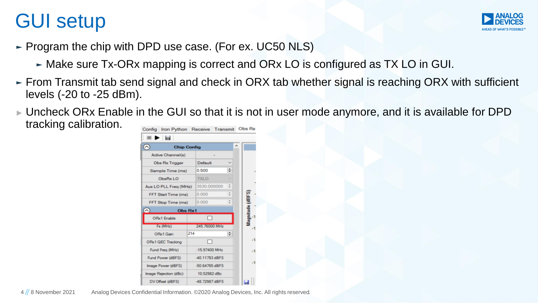## GUI setup



- ► Program the chip with DPD use case. (For ex. UC50 NLS)
	- ► Make sure Tx-ORx mapping is correct and ORx LO is configured as TX LO in GUI.
- ► From Transmit tab send signal and check in ORX tab whether signal is reaching ORX with sufficient levels (-20 to -25 dBm).
- ► Uncheck ORx Enable in the GUI so that it is not in user mode anymore, and it is available for DPD tracking calibration.

| ► ⊌<br>۸<br><b>Chip Config</b><br><b>Active Channel(s)</b><br><b>Obs Rx Trigger</b><br>Default<br>۰<br>0.500<br>Sample Time (ms)<br>ObsRx LO<br><b>TXLO</b><br>3530.000000<br>Aux LO PLL Freg (MHz)<br>Magnitude (dBFS)<br>0.000<br>FFT Start Time (ms)<br>0.000<br>FFT Stop Time (ms)<br>$\curvearrowright$<br>Obs Rx1<br>ORx1 Enable<br>245.76000 MHz<br>Fs (MHz)<br>214<br>ORx1 Gain<br>-1<br>ORx1 QEC Tracking<br>Fund Freq (MHz)<br>-15.97400 MHz<br>-40.11783 dBFS<br>Fund Power (dBFS)<br>-1<br>-50.64765 dBFS<br>Image Power (dBFS)<br>10.52982 dBc<br>Image Rejection (dBc)<br>DV Offset (dBFS)<br>-48.72987 dBFS | Config Iron Python Receive Transmit |  | Obs Rx |
|----------------------------------------------------------------------------------------------------------------------------------------------------------------------------------------------------------------------------------------------------------------------------------------------------------------------------------------------------------------------------------------------------------------------------------------------------------------------------------------------------------------------------------------------------------------------------------------------------------------------------|-------------------------------------|--|--------|
|                                                                                                                                                                                                                                                                                                                                                                                                                                                                                                                                                                                                                            |                                     |  |        |
|                                                                                                                                                                                                                                                                                                                                                                                                                                                                                                                                                                                                                            |                                     |  |        |
|                                                                                                                                                                                                                                                                                                                                                                                                                                                                                                                                                                                                                            |                                     |  |        |
|                                                                                                                                                                                                                                                                                                                                                                                                                                                                                                                                                                                                                            |                                     |  |        |
|                                                                                                                                                                                                                                                                                                                                                                                                                                                                                                                                                                                                                            |                                     |  |        |
|                                                                                                                                                                                                                                                                                                                                                                                                                                                                                                                                                                                                                            |                                     |  |        |
|                                                                                                                                                                                                                                                                                                                                                                                                                                                                                                                                                                                                                            |                                     |  |        |
|                                                                                                                                                                                                                                                                                                                                                                                                                                                                                                                                                                                                                            |                                     |  |        |
|                                                                                                                                                                                                                                                                                                                                                                                                                                                                                                                                                                                                                            |                                     |  |        |
|                                                                                                                                                                                                                                                                                                                                                                                                                                                                                                                                                                                                                            |                                     |  |        |
|                                                                                                                                                                                                                                                                                                                                                                                                                                                                                                                                                                                                                            |                                     |  |        |
|                                                                                                                                                                                                                                                                                                                                                                                                                                                                                                                                                                                                                            |                                     |  |        |
|                                                                                                                                                                                                                                                                                                                                                                                                                                                                                                                                                                                                                            |                                     |  |        |
|                                                                                                                                                                                                                                                                                                                                                                                                                                                                                                                                                                                                                            |                                     |  |        |
|                                                                                                                                                                                                                                                                                                                                                                                                                                                                                                                                                                                                                            |                                     |  |        |
|                                                                                                                                                                                                                                                                                                                                                                                                                                                                                                                                                                                                                            |                                     |  |        |
|                                                                                                                                                                                                                                                                                                                                                                                                                                                                                                                                                                                                                            |                                     |  |        |
|                                                                                                                                                                                                                                                                                                                                                                                                                                                                                                                                                                                                                            |                                     |  |        |
|                                                                                                                                                                                                                                                                                                                                                                                                                                                                                                                                                                                                                            |                                     |  |        |

4 8 November 2021 Analog Devices Confidential Information. ©2020 Analog Devices, Inc. All rights reserved*.*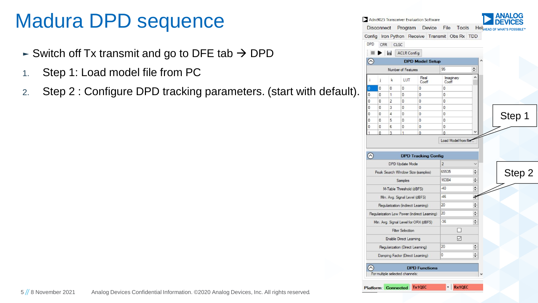#### Madura DPD sequence

- $\blacktriangleright$  Switch off Tx transmit and go to DFE tab  $\rightarrow$  DPD
- 1. Step 1: Load model file from PC
- 2. Step 2 : Configure DPD tracking parameters. (start with default).

|                | <b>Disconnect</b> |                | Program                            | Device                                       | File<br>Tools<br>Config Iron Python Receive Transmit Obs Rx TDD |               | HeINHEAD OF WHAT'S POSSIBLE™ |
|----------------|-------------------|----------------|------------------------------------|----------------------------------------------|-----------------------------------------------------------------|---------------|------------------------------|
| <b>DPD</b>     | <b>CFR</b>        |                | <b>CLGC</b>                        |                                              |                                                                 |               |                              |
|                |                   |                | ACLR Config                        |                                              |                                                                 |               |                              |
| $\odot$        |                   |                |                                    | <b>DPD Model Setup</b>                       |                                                                 |               |                              |
|                |                   |                | Number of Features                 |                                              | 95                                                              | $\div$        |                              |
| i              | ĵ                 | $\mathbf{k}$   | LUT                                | Real<br>Coeff                                | Imaginary<br>Coeff                                              | ۸             |                              |
| 0              | $\bf{0}$          | $\overline{0}$ | 0                                  | $\bf{0}$                                     | 0                                                               |               |                              |
| 0              | 0                 | 1              | 0                                  | 0                                            | 0                                                               |               |                              |
| 0              | $\bf{0}$          | 2              | 0                                  | 0                                            | 0                                                               |               |                              |
| $\bf{0}$       | $\bf{0}$          | 3              | 0                                  | 0                                            | 0                                                               |               |                              |
| 0              | 0                 | 4              | 0                                  | 0                                            | 0                                                               |               | Step 1                       |
| 0              | 0                 | 5              | 0                                  | 0                                            | 0                                                               |               |                              |
| 0              | 0                 | 6              | 0                                  | 0                                            | 0                                                               |               |                              |
| $\overline{1}$ | $\overline{0}$    | 3              | 1                                  | $\bf{0}$                                     | $\Omega$                                                        |               |                              |
|                |                   |                |                                    | <b>DPD Tracking Config</b>                   |                                                                 |               |                              |
|                |                   |                | <b>DPD Update Mode</b>             |                                              | $\overline{2}$                                                  |               |                              |
|                |                   |                |                                    | Peak Search Window Size (samples)            | 65535                                                           | $\div$        |                              |
| $\circledcirc$ |                   |                | Samples                            |                                              | 16384                                                           | $\div$        | Step 2                       |
|                |                   |                | M-Table Threshold (dBFS)           |                                              | $-40$                                                           | $\div$        |                              |
|                |                   |                | Min. Avg. Signal Level (dBFS)      |                                              | $-46$                                                           | $\ddot{\ast}$ |                              |
|                |                   |                | Regularization (Indirect Learning) |                                              | 20                                                              | $\div$        |                              |
|                |                   |                |                                    | Regularization Low Power (Indirect Learning) | 20                                                              | $\div$        |                              |
|                |                   |                |                                    | Min. Avg. Signal Level for ORX (dBFS)        | $-36$                                                           | $\div$        |                              |
|                |                   |                | <b>Filter Selection</b>            |                                              |                                                                 |               |                              |
|                |                   |                | Enable Direct Learning             |                                              | ☑                                                               |               |                              |
|                |                   |                | Regularization (Direct Leaming)    |                                              | 20                                                              | $\div$        |                              |
|                |                   |                | Damping Factor (Direct Learning)   |                                              | 0                                                               | $\div$        |                              |
|                |                   |                |                                    | <b>DPD Functions</b>                         |                                                                 |               |                              |